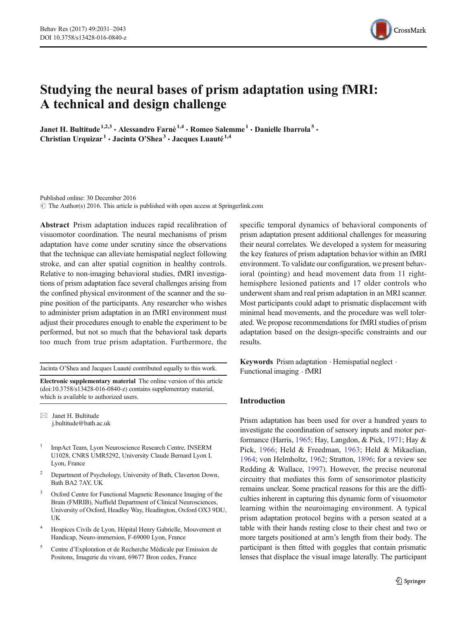

# Studying the neural bases of prism adaptation using fMRI: A technical and design challenge

Janet H. Bultitude<sup>1,2,3</sup> • Alessandro Farnè<sup>1,4</sup> • Romeo Salemme<sup>1</sup> • Danielle Ibarrola<sup>5</sup> • Christian Urquizar<sup>1</sup>  $\cdot$  Jacinta O'Shea<sup>3</sup>  $\cdot$  Jacques Luauté<sup>1,4</sup>

Published online: 30 December 2016  $\odot$  The Author(s) 2016. This article is published with open access at Springerlink.com

Abstract Prism adaptation induces rapid recalibration of visuomotor coordination. The neural mechanisms of prism adaptation have come under scrutiny since the observations that the technique can alleviate hemispatial neglect following stroke, and can alter spatial cognition in healthy controls. Relative to non-imaging behavioral studies, fMRI investigations of prism adaptation face several challenges arising from the confined physical environment of the scanner and the supine position of the participants. Any researcher who wishes to administer prism adaptation in an fMRI environment must adjust their procedures enough to enable the experiment to be performed, but not so much that the behavioral task departs too much from true prism adaptation. Furthermore, the

Jacinta O'Shea and Jacques Luauté contributed equally to this work.

Electronic supplementary material The online version of this article (doi[:10.3758/s13428-016-0840-z\)](http://dx.doi.org/10.3758/s13428-016-0840-z) contains supplementary material, which is available to authorized users.

 $\boxtimes$  Janet H. Bultitude j.bultitude@bath.ac.uk

- ImpAct Team, Lyon Neuroscience Research Centre, INSERM U1028, CNRS UMR5292, University Claude Bernard Lyon I, Lyon, France
- <sup>2</sup> Department of Psychology, University of Bath, Claverton Down, Bath BA2 7AY, UK
- Oxford Centre for Functional Magnetic Resonance Imaging of the Brain (FMRIB), Nuffield Department of Clinical Neurosciences, University of Oxford, Headley Way, Headington, Oxford OX3 9DU, UK
- <sup>4</sup> Hospices Civils de Lyon, Hôpital Henry Gabrielle, Mouvement et Handicap, Neuro-immersion, F-69000 Lyon, France
- <sup>5</sup> Centre d'Exploration et de Recherche Médicale par Emission de Positons, Imagerie du vivant, 69677 Bron cedex, France

specific temporal dynamics of behavioral components of prism adaptation present additional challenges for measuring their neural correlates. We developed a system for measuring the key features of prism adaptation behavior within an fMRI environment. To validate our configuration, we present behavioral (pointing) and head movement data from 11 righthemisphere lesioned patients and 17 older controls who underwent sham and real prism adaptation in an MRI scanner. Most participants could adapt to prismatic displacement with minimal head movements, and the procedure was well tolerated. We propose recommendations for fMRI studies of prism adaptation based on the design-specific constraints and our results.

Keywords Prism adaptation . Hemispatial neglect . Functional imaging . fMRI

# Introduction

Prism adaptation has been used for over a hundred years to investigate the coordination of sensory inputs and motor performance (Harris, [1965](#page-11-0); Hay, Langdon, & Pick, [1971;](#page-11-0) Hay & Pick, [1966;](#page-11-0) Held & Freedman, [1963](#page-11-0); Held & Mikaelian, [1964;](#page-11-0) von Helmholtz, [1962;](#page-12-0) Stratton, [1896;](#page-11-0) for a review see Redding & Wallace, [1997\)](#page-11-0). However, the precise neuronal circuitry that mediates this form of sensorimotor plasticity remains unclear. Some practical reasons for this are the difficulties inherent in capturing this dynamic form of visuomotor learning within the neuroimaging environment. A typical prism adaptation protocol begins with a person seated at a table with their hands resting close to their chest and two or more targets positioned at arm's length from their body. The participant is then fitted with goggles that contain prismatic lenses that displace the visual image laterally. The participant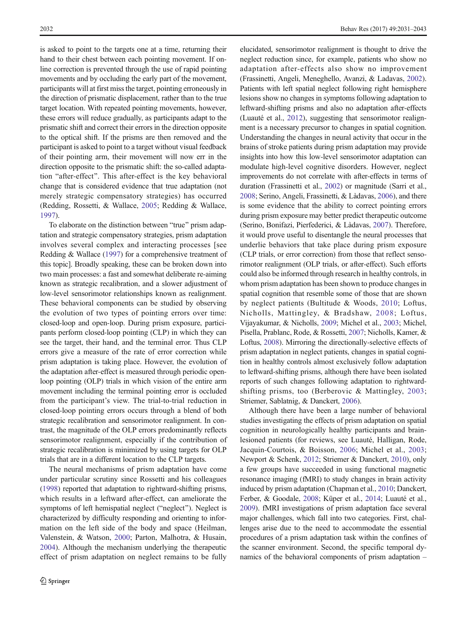is asked to point to the targets one at a time, returning their hand to their chest between each pointing movement. If online correction is prevented through the use of rapid pointing movements and by occluding the early part of the movement, participants will at first miss the target, pointing erroneously in the direction of prismatic displacement, rather than to the true target location. With repeated pointing movements, however, these errors will reduce gradually, as participants adapt to the prismatic shift and correct their errors in the direction opposite to the optical shift. If the prisms are then removed and the participant is asked to point to a target without visual feedback of their pointing arm, their movement will now err in the direction opposite to the prismatic shift: the so-called adaptation "after-effect". This after-effect is the key behavioral change that is considered evidence that true adaptation (not merely strategic compensatory strategies) has occurred (Redding, Rossetti, & Wallace, [2005](#page-11-0); Redding & Wallace, [1997\)](#page-11-0).

To elaborate on the distinction between "true" prism adaptation and strategic compensatory strategies, prism adaptation involves several complex and interacting processes [see Redding & Wallace [\(1997\)](#page-11-0) for a comprehensive treatment of this topic]. Broadly speaking, these can be broken down into two main processes: a fast and somewhat deliberate re-aiming known as strategic recalibration, and a slower adjustment of low-level sensorimotor relationships known as realignment. These behavioral components can be studied by observing the evolution of two types of pointing errors over time: closed-loop and open-loop. During prism exposure, participants perform closed-loop pointing (CLP) in which they can see the target, their hand, and the terminal error. Thus CLP errors give a measure of the rate of error correction while prism adaptation is taking place. However, the evolution of the adaptation after-effect is measured through periodic openloop pointing (OLP) trials in which vision of the entire arm movement including the terminal pointing error is occluded from the participant's view. The trial-to-trial reduction in closed-loop pointing errors occurs through a blend of both strategic recalibration and sensorimotor realignment. In contrast, the magnitude of the OLP errors predominantly reflects sensorimotor realignment, especially if the contribution of strategic recalibration is minimized by using targets for OLP trials that are in a different location to the CLP targets.

The neural mechanisms of prism adaptation have come under particular scrutiny since Rossetti and his colleagues [\(1998\)](#page-11-0) reported that adaptation to rightward-shifting prisms, which results in a leftward after-effect, can ameliorate the symptoms of left hemispatial neglect ("neglect"). Neglect is characterized by difficulty responding and orienting to information on the left side of the body and space (Heilman, Valenstein, & Watson, [2000;](#page-11-0) Parton, Malhotra, & Husain, [2004\)](#page-11-0). Although the mechanism underlying the therapeutic effect of prism adaptation on neglect remains to be fully

elucidated, sensorimotor realignment is thought to drive the neglect reduction since, for example, patients who show no adaptation after-effects also show no improvement (Frassinetti, Angeli, Meneghello, Avanzi, & Ladavas, [2002\)](#page-10-0). Patients with left spatial neglect following right hemisphere lesions show no changes in symptoms following adaptation to leftward-shifting prisms and also no adaptation after-effects (Luauté et al., [2012](#page-11-0)), suggesting that sensorimotor realignment is a necessary precursor to changes in spatial cognition. Understanding the changes in neural activity that occur in the brains of stroke patients during prism adaptation may provide insights into how this low-level sensorimotor adaptation can modulate high-level cognitive disorders. However, neglect improvements do not correlate with after-effects in terms of duration (Frassinetti et al., [2002\)](#page-10-0) or magnitude (Sarri et al., [2008;](#page-11-0) Serino, Angeli, Frassinetti, & Làdavas, [2006](#page-11-0)), and there is some evidence that the ability to correct pointing errors during prism exposure may better predict therapeutic outcome (Serino, Bonifazi, Pierfederici, & Làdavas, [2007](#page-11-0)). Therefore, it would prove useful to disentangle the neural processes that underlie behaviors that take place during prism exposure (CLP trials, or error correction) from those that reflect sensorimotor realignment (OLP trials, or after-effect). Such efforts could also be informed through research in healthy controls, in whom prism adaptation has been shown to produce changes in spatial cognition that resemble some of those that are shown by neglect patients (Bultitude & Woods, [2010](#page-10-0); Loftus, Nicholls, Mattingley, & Bradshaw, [2008;](#page-11-0) Loftus, Vijayakumar, & Nicholls, [2009](#page-11-0); Michel et al., [2003;](#page-11-0) Michel, Pisella, Prablanc, Rode, & Rossetti, [2007](#page-11-0); Nicholls, Kamer, & Loftus, [2008](#page-11-0)). Mirroring the directionally-selective effects of prism adaptation in neglect patients, changes in spatial cognition in healthy controls almost exclusively follow adaptation to leftward-shifting prisms, although there have been isolated reports of such changes following adaptation to rightwardshifting prisms, too (Berberovic & Mattingley, [2003;](#page-10-0) Striemer, Sablatnig, & Danckert, [2006\)](#page-11-0).

Although there have been a large number of behavioral studies investigating the effects of prism adaptation on spatial cognition in neurologically healthy participants and brainlesioned patients (for reviews, see Luauté, Halligan, Rode, Jacquin-Courtois, & Boisson, [2006;](#page-11-0) Michel et al., [2003;](#page-11-0) Newport & Schenk, [2012;](#page-11-0) Striemer & Danckert, [2010\)](#page-11-0), only a few groups have succeeded in using functional magnetic resonance imaging (fMRI) to study changes in brain activity induced by prism adaptation (Chapman et al., [2010;](#page-10-0) Danckert, Ferber, & Goodale, [2008](#page-10-0); Küper et al., [2014;](#page-11-0) Luauté et al., [2009\)](#page-11-0). fMRI investigations of prism adaptation face several major challenges, which fall into two categories. First, challenges arise due to the need to accommodate the essential procedures of a prism adaptation task within the confines of the scanner environment. Second, the specific temporal dynamics of the behavioral components of prism adaptation –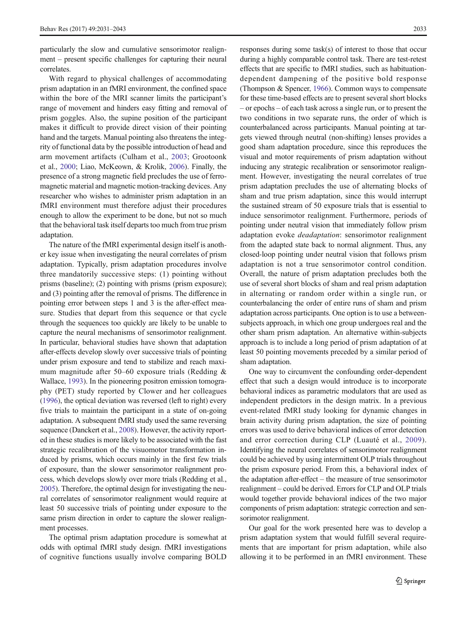particularly the slow and cumulative sensorimotor realignment – present specific challenges for capturing their neural correlates.

With regard to physical challenges of accommodating prism adaptation in an fMRI environment, the confined space within the bore of the MRI scanner limits the participant's range of movement and hinders easy fitting and removal of prism goggles. Also, the supine position of the participant makes it difficult to provide direct vision of their pointing hand and the targets. Manual pointing also threatens the integrity of functional data by the possible introduction of head and arm movement artifacts (Culham et al., [2003;](#page-10-0) Grootoonk et al., [2000](#page-11-0); Liao, McKeown, & Krolik, [2006\)](#page-11-0). Finally, the presence of a strong magnetic field precludes the use of ferromagnetic material and magnetic motion-tracking devices. Any researcher who wishes to administer prism adaptation in an fMRI environment must therefore adjust their procedures enough to allow the experiment to be done, but not so much that the behavioral task itself departs too much from true prism adaptation.

The nature of the fMRI experimental design itself is another key issue when investigating the neural correlates of prism adaptation. Typically, prism adaptation procedures involve three mandatorily successive steps: (1) pointing without prisms (baseline); (2) pointing with prisms (prism exposure); and (3) pointing after the removal of prisms. The difference in pointing error between steps 1 and 3 is the after-effect measure. Studies that depart from this sequence or that cycle through the sequences too quickly are likely to be unable to capture the neural mechanisms of sensorimotor realignment. In particular, behavioral studies have shown that adaptation after-effects develop slowly over successive trials of pointing under prism exposure and tend to stabilize and reach maximum magnitude after 50–60 exposure trials (Redding & Wallace, [1993](#page-11-0)). In the pioneering positron emission tomography (PET) study reported by Clower and her colleagues [\(1996\)](#page-10-0), the optical deviation was reversed (left to right) every five trials to maintain the participant in a state of on-going adaptation. A subsequent fMRI study used the same reversing sequence (Danckert et al., [2008](#page-10-0)). However, the activity reported in these studies is more likely to be associated with the fast strategic recalibration of the visuomotor transformation induced by prisms, which occurs mainly in the first few trials of exposure, than the slower sensorimotor realignment process, which develops slowly over more trials (Redding et al., [2005\)](#page-11-0). Therefore, the optimal design for investigating the neural correlates of sensorimotor realignment would require at least 50 successive trials of pointing under exposure to the same prism direction in order to capture the slower realignment processes.

The optimal prism adaptation procedure is somewhat at odds with optimal fMRI study design. fMRI investigations of cognitive functions usually involve comparing BOLD responses during some task(s) of interest to those that occur during a highly comparable control task. There are test-retest effects that are specific to fMRI studies, such as habituationdependent dampening of the positive bold response (Thompson & Spencer, [1966\)](#page-12-0). Common ways to compensate for these time-based effects are to present several short blocks – or epochs – of each task across a single run, or to present the two conditions in two separate runs, the order of which is counterbalanced across participants. Manual pointing at targets viewed through neutral (non-shifting) lenses provides a good sham adaptation procedure, since this reproduces the visual and motor requirements of prism adaptation without inducing any strategic recalibration or sensorimotor realignment. However, investigating the neural correlates of true prism adaptation precludes the use of alternating blocks of sham and true prism adaptation, since this would interrupt the sustained stream of 50 exposure trials that is essential to induce sensorimotor realignment. Furthermore, periods of pointing under neutral vision that immediately follow prism adaptation evoke deadaptation: sensorimotor realignment from the adapted state back to normal alignment. Thus, any closed-loop pointing under neutral vision that follows prism adaptation is not a true sensorimotor control condition. Overall, the nature of prism adaptation precludes both the use of several short blocks of sham and real prism adaptation in alternating or random order within a single run, or counterbalancing the order of entire runs of sham and prism adaptation across participants. One option is to use a betweensubjects approach, in which one group undergoes real and the other sham prism adaptation. An alternative within-subjects approach is to include a long period of prism adaptation of at least 50 pointing movements preceded by a similar period of sham adaptation.

One way to circumvent the confounding order-dependent effect that such a design would introduce is to incorporate behavioral indices as parametric modulators that are used as independent predictors in the design matrix. In a previous event-related fMRI study looking for dynamic changes in brain activity during prism adaptation, the size of pointing errors was used to derive behavioral indices of error detection and error correction during CLP (Luauté et al., [2009](#page-11-0)). Identifying the neural correlates of sensorimotor realignment could be achieved by using intermittent OLP trials throughout the prism exposure period. From this, a behavioral index of the adaptation after-effect – the measure of true sensorimotor realignment – could be derived. Errors for CLP and OLP trials would together provide behavioral indices of the two major components of prism adaptation: strategic correction and sensorimotor realignment.

Our goal for the work presented here was to develop a prism adaptation system that would fulfill several requirements that are important for prism adaptation, while also allowing it to be performed in an fMRI environment. These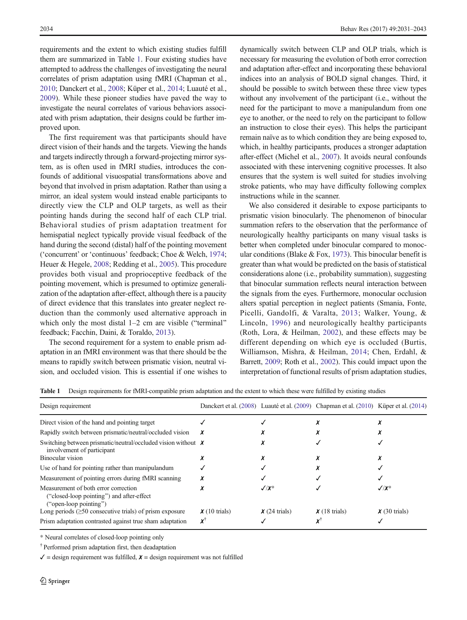requirements and the extent to which existing studies fulfill them are summarized in Table 1. Four existing studies have attempted to address the challenges of investigating the neural correlates of prism adaptation using fMRI (Chapman et al., [2010;](#page-10-0) Danckert et al., [2008](#page-10-0); Küper et al., [2014](#page-11-0); Luauté et al., [2009\)](#page-11-0). While these pioneer studies have paved the way to investigate the neural correlates of various behaviors associated with prism adaptation, their designs could be further improved upon.

The first requirement was that participants should have direct vision of their hands and the targets. Viewing the hands and targets indirectly through a forward-projecting mirror system, as is often used in fMRI studies, introduces the confounds of additional visuospatial transformations above and beyond that involved in prism adaptation. Rather than using a mirror, an ideal system would instead enable participants to directly view the CLP and OLP targets, as well as their pointing hands during the second half of each CLP trial. Behavioral studies of prism adaptation treatment for hemispatial neglect typically provide visual feedback of the hand during the second (distal) half of the pointing movement ('concurrent' or 'continuous' feedback; Choe & Welch, [1974](#page-10-0); Heuer & Hegele, [2008](#page-11-0); Redding et al., [2005\)](#page-11-0). This procedure provides both visual and proprioceptive feedback of the pointing movement, which is presumed to optimize generalization of the adaptation after-effect, although there is a paucity of direct evidence that this translates into greater neglect reduction than the commonly used alternative approach in which only the most distal  $1-2$  cm are visible ("terminal" feedback; Facchin, Daini, & Toraldo, [2013](#page-10-0)).

The second requirement for a system to enable prism adaptation in an fMRI environment was that there should be the means to rapidly switch between prismatic vision, neutral vision, and occluded vision. This is essential if one wishes to

dynamically switch between CLP and OLP trials, which is necessary for measuring the evolution of both error correction and adaptation after-effect and incorporating these behavioral indices into an analysis of BOLD signal changes. Third, it should be possible to switch between these three view types without any involvement of the participant (i.e., without the need for the participant to move a manipulandum from one eye to another, or the need to rely on the participant to follow an instruction to close their eyes). This helps the participant remain naïve as to which condition they are being exposed to, which, in healthy participants, produces a stronger adaptation after-effect (Michel et al., [2007\)](#page-11-0). It avoids neural confounds associated with these intervening cognitive processes. It also ensures that the system is well suited for studies involving stroke patients, who may have difficulty following complex instructions while in the scanner.

We also considered it desirable to expose participants to prismatic vision binocularly. The phenomenon of binocular summation refers to the observation that the performance of neurologically healthy participants on many visual tasks is better when completed under binocular compared to monocular conditions (Blake  $& Fox, 1973$ ). This binocular benefit is greater than what would be predicted on the basis of statistical considerations alone (i.e., probability summation), suggesting that binocular summation reflects neural interaction between the signals from the eyes. Furthermore, monocular occlusion alters spatial perception in neglect patients (Smania, Fonte, Picelli, Gandolfi, & Varalta, [2013](#page-11-0); Walker, Young, & Lincoln, [1996](#page-12-0)) and neurologically healthy participants (Roth, Lora, & Heilman, [2002](#page-11-0)), and these effects may be different depending on which eye is occluded (Burtis, Williamson, Mishra, & Heilman, [2014](#page-10-0); Chen, Erdahl, & Barrett, [2009](#page-10-0); Roth et al., [2002](#page-11-0)). This could impact upon the interpretation of functional results of prism adaptation studies,

| Table 1 Design requirements for fMRI-compatible prism adaptation and the extent to which these were fulfilled by existing studies |  |  |
|-----------------------------------------------------------------------------------------------------------------------------------|--|--|
|                                                                                                                                   |  |  |

| Design requirement                                                                                          |                    |                    | Danckert et al. (2008) Luauté et al. (2009) Chapman et al. (2010) Küper et al. (2014) |                    |
|-------------------------------------------------------------------------------------------------------------|--------------------|--------------------|---------------------------------------------------------------------------------------|--------------------|
| Direct vision of the hand and pointing target                                                               |                    |                    |                                                                                       |                    |
| Rapidly switch between prismatic/neutral/occluded vision                                                    |                    |                    |                                                                                       |                    |
| Switching between prismatic/neutral/occluded vision without $\chi$<br>involvement of participant            |                    |                    |                                                                                       |                    |
| Binocular vision                                                                                            |                    |                    |                                                                                       |                    |
| Use of hand for pointing rather than manipulandum                                                           |                    |                    |                                                                                       |                    |
| Measurement of pointing errors during fMRI scanning                                                         |                    |                    |                                                                                       |                    |
| Measurement of both error correction<br>("closed-loop pointing") and after-effect<br>("open-loop pointing") |                    | $\sqrt{X^*}$       |                                                                                       | $\sqrt{X^*}$       |
| Long periods $(\geq 50$ consecutive trials) of prism exposure                                               | $\chi$ (10 trials) | $\chi$ (24 trials) | $\chi$ (18 trials)                                                                    | $\chi$ (30 trials) |
| Prism adaptation contrasted against true sham adaptation                                                    | ٧Ť                 |                    |                                                                                       |                    |

\* Neural correlates of closed-loop pointing only

† Performed prism adaptation first, then deadaptation

 $\checkmark$  = design requirement was fulfilled,  $\checkmark$  = design requirement was not fulfilled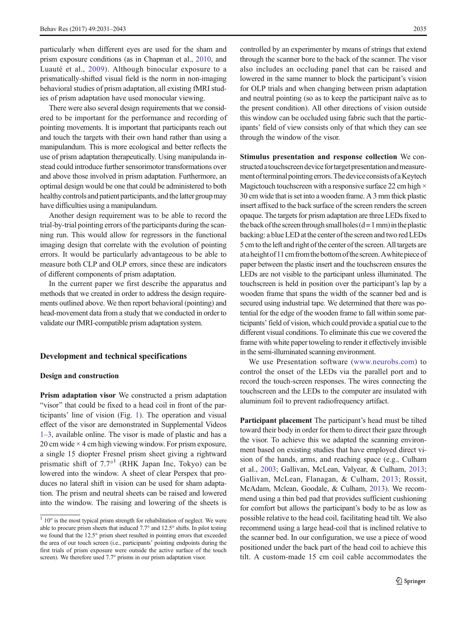particularly when different eyes are used for the sham and prism exposure conditions (as in Chapman et al., [2010](#page-10-0), and Luauté et al., [2009\)](#page-11-0). Although binocular exposure to a prismatically-shifted visual field is the norm in non-imaging behavioral studies of prism adaptation, all existing fMRI studies of prism adaptation have used monocular viewing.

There were also several design requirements that we considered to be important for the performance and recording of pointing movements. It is important that participants reach out and touch the targets with their own hand rather than using a manipulandum. This is more ecological and better reflects the use of prism adaptation therapeutically. Using manipulanda instead could introduce further sensorimotor transformations over and above those involved in prism adaptation. Furthermore, an optimal design would be one that could be administered to both healthy controls and patient participants, and the latter group may have difficulties using a manipulandum.

Another design requirement was to be able to record the trial-by-trial pointing errors of the participants during the scanning run. This would allow for regressors in the functional imaging design that correlate with the evolution of pointing errors. It would be particularly advantageous to be able to measure both CLP and OLP errors, since these are indicators of different components of prism adaptation.

In the current paper we first describe the apparatus and methods that we created in order to address the design requirements outlined above. We then report behavioral (pointing) and head-movement data from a study that we conducted in order to validate our fMRI-compatible prism adaptation system.

#### Development and technical specifications

### Design and construction

Prism adaptation visor We constructed a prism adaptation "visor" that could be fixed to a head coil in front of the participants' line of vision (Fig. [1\)](#page-5-0). The operation and visual effect of the visor are demonstrated in Supplemental Videos 1–3, available online. The visor is made of plastic and has a 20 cm wide  $\times$  4 cm high viewing window. For prism exposure, a single 15 diopter Fresnel prism sheet giving a rightward prismatic shift of  $7.7<sup>o1</sup>$  (RHK Japan Inc, Tokyo) can be lowered into the window. A sheet of clear Perspex that produces no lateral shift in vision can be used for sham adaptation. The prism and neutral sheets can be raised and lowered into the window. The raising and lowering of the sheets is controlled by an experimenter by means of strings that extend through the scanner bore to the back of the scanner. The visor also includes an occluding panel that can be raised and lowered in the same manner to block the participant's vision for OLP trials and when changing between prism adaptation and neutral pointing (so as to keep the participant naïve as to the present condition). All other directions of vision outside this window can be occluded using fabric such that the participants' field of view consists only of that which they can see through the window of the visor.

Stimulus presentation and response collection We constructed a touchscreen device for target presentation and measurement of terminal pointing errors. The device consists of a Keytech Magictouch touchscreen with a responsive surface 22 cm high  $\times$ 30 cm wide that is set into a wooden frame. A 3 mm thick plastic insert affixed to the back surface of the screen renders the screen opaque. The targets for prism adaptation are three LEDs fixed to the back of the screen through small holes  $(d=1$  mm) in the plastic backing: a blue LED at the center of the screen and two red LEDs 5 cm to the left and right of the center of the screen. All targets are at a height of 11 cm from the bottom of the screen. A white piece of paper between the plastic insert and the touchscreen ensures the LEDs are not visible to the participant unless illuminated. The touchscreen is held in position over the participant's lap by a wooden frame that spans the width of the scanner bed and is secured using industrial tape. We determined that there was potential for the edge of the wooden frame to fall within some participants' field of vision, which could provide a spatial cue to the different visual conditions. To eliminate this cue we covered the frame with white paper toweling to render it effectively invisible in the semi-illuminated scanning environment.

We use Presentation software ([www.neurobs.com\)](http://www.neurobs.com/) to control the onset of the LEDs via the parallel port and to record the touch-screen responses. The wires connecting the touchscreen and the LEDs to the computer are insulated with aluminum foil to prevent radiofrequency artifact.

Participant placement The participant's head must be tilted toward their body in order for them to direct their gaze through the visor. To achieve this we adapted the scanning environment based on existing studies that have employed direct vision of the hands, arms, and reaching space (e.g., Culham et al., [2003](#page-10-0); Gallivan, McLean, Valyear, & Culham, [2013;](#page-10-0) Gallivan, McLean, Flanagan, & Culham, [2013](#page-10-0); Rossit, McAdam, Mclean, Goodale, & Culham, [2013](#page-11-0)). We recommend using a thin bed pad that provides sufficient cushioning for comfort but allows the participant's body to be as low as possible relative to the head coil, facilitating head tilt. We also recommend using a large head-coil that is inclined relative to the scanner bed. In our configuration, we use a piece of wood positioned under the back part of the head coil to achieve this tilt. A custom-made 15 cm coil cable accommodates the

 $110^\circ$  is the most typical prism strength for rehabilitation of neglect. We were able to procure prism sheets that induced 7.7° and 12.5° shifts. In pilot testing we found that the 12.5° prism sheet resulted in pointing errors that exceeded the area of our touch screen (i.e., participants' pointing endpoints during the first trials of prism exposure were outside the active surface of the touch screen). We therefore used 7.7° prisms in our prism adaptation visor.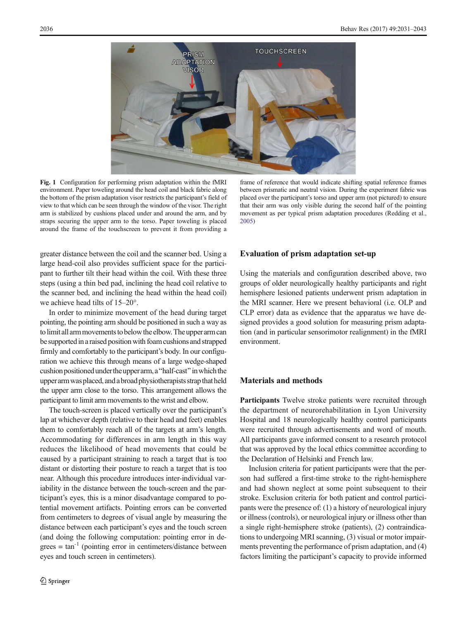<span id="page-5-0"></span>

Fig. 1 Configuration for performing prism adaptation within the fMRI environment. Paper toweling around the head coil and black fabric along the bottom of the prism adaptation visor restricts the participant's field of view to that which can be seen through the window of the visor. The right arm is stabilized by cushions placed under and around the arm, and by straps securing the upper arm to the torso. Paper toweling is placed around the frame of the touchscreen to prevent it from providing a

greater distance between the coil and the scanner bed. Using a large head-coil also provides sufficient space for the participant to further tilt their head within the coil. With these three steps (using a thin bed pad, inclining the head coil relative to the scanner bed, and inclining the head within the head coil) we achieve head tilts of 15–20°.

In order to minimize movement of the head during target pointing, the pointing arm should be positioned in such a way as to limit all arm movements to below the elbow. The upper arm can be supported in a raised position with foam cushions and strapped firmly and comfortably to the participant's body. In our configuration we achieve this through means of a large wedge-shaped cushion positioned under the upper arm, a "half-cast" in which the upper armwas placed, and a broad physiotherapists strapthat held the upper arm close to the torso. This arrangement allows the participant to limit arm movements to the wrist and elbow.

The touch-screen is placed vertically over the participant's lap at whichever depth (relative to their head and feet) enables them to comfortably reach all of the targets at arm's length. Accommodating for differences in arm length in this way reduces the likelihood of head movements that could be caused by a participant straining to reach a target that is too distant or distorting their posture to reach a target that is too near. Although this procedure introduces inter-individual variability in the distance between the touch-screen and the participant's eyes, this is a minor disadvantage compared to potential movement artifacts. Pointing errors can be converted from centimeters to degrees of visual angle by measuring the distance between each participant's eyes and the touch screen (and doing the following computation: pointing error in de $grees = tan^{-1}$  (pointing error in centimeters/distance between eyes and touch screen in centimeters).

frame of reference that would indicate shifting spatial reference frames between prismatic and neutral vision. During the experiment fabric was placed over the participant's torso and upper arm (not pictured) to ensure that their arm was only visible during the second half of the pointing movement as per typical prism adaptation procedures (Redding et al., [2005\)](#page-11-0)

# Evaluation of prism adaptation set-up

Using the materials and configuration described above, two groups of older neurologically healthy participants and right hemisphere lesioned patients underwent prism adaptation in the MRI scanner. Here we present behavioral (i.e. OLP and CLP error) data as evidence that the apparatus we have designed provides a good solution for measuring prism adaptation (and in particular sensorimotor realignment) in the fMRI environment.

# Materials and methods

Participants Twelve stroke patients were recruited through the department of neurorehabilitation in Lyon University Hospital and 18 neurologically healthy control participants were recruited through advertisements and word of mouth. All participants gave informed consent to a research protocol that was approved by the local ethics committee according to the Declaration of Helsinki and French law.

Inclusion criteria for patient participants were that the person had suffered a first-time stroke to the right-hemisphere and had shown neglect at some point subsequent to their stroke. Exclusion criteria for both patient and control participants were the presence of: (1) a history of neurological injury or illness (controls), or neurological injury or illness other than a single right-hemisphere stroke (patients), (2) contraindications to undergoing MRI scanning, (3) visual or motor impairments preventing the performance of prism adaptation, and (4) factors limiting the participant's capacity to provide informed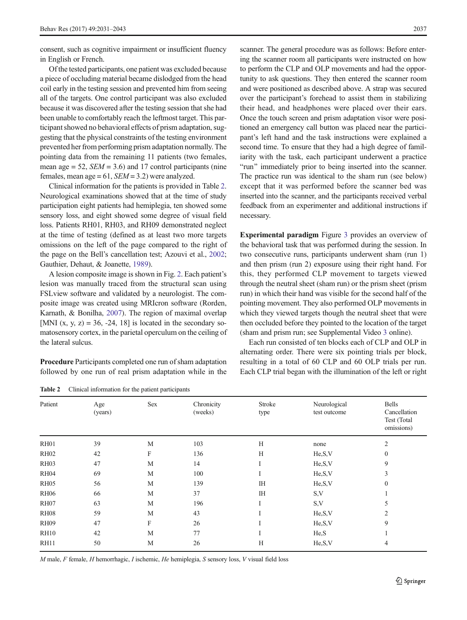consent, such as cognitive impairment or insufficient fluency in English or French.

Of the tested participants, one patient was excluded because a piece of occluding material became dislodged from the head coil early in the testing session and prevented him from seeing all of the targets. One control participant was also excluded because it was discovered after the testing session that she had been unable to comfortably reach the leftmost target. This participant showed no behavioral effects of prism adaptation, suggesting that the physical constraints of the testing environment prevented her from performing prism adaptation normally. The pointing data from the remaining 11 patients (two females, mean age  $= 52$ ,  $SEM = 3.6$ ) and 17 control participants (nine females, mean age =  $61$ ,  $SEM = 3.2$ ) were analyzed.

Clinical information for the patients is provided in Table 2. Neurological examinations showed that at the time of study participation eight patients had hemiplegia, ten showed some sensory loss, and eight showed some degree of visual field loss. Patients RH01, RH03, and RH09 demonstrated neglect at the time of testing (defined as at least two more targets omissions on the left of the page compared to the right of the page on the Bell's cancellation test; Azouvi et al., [2002](#page-10-0); Gauthier, Dehaut, & Joanette, [1989](#page-10-0)).

A lesion composite image is shown in Fig. [2.](#page-7-0) Each patient's lesion was manually traced from the structural scan using FSLview software and validated by a neurologist. The composite image was created using MRIcron software (Rorden, Karnath, & Bonilha, [2007](#page-11-0)). The region of maximal overlap [MNI  $(x, y, z) = 36, -24, 18$ ] is located in the secondary somatosensory cortex, in the parietal operculum on the ceiling of the lateral sulcus.

Procedure Participants completed one run of sham adaptation followed by one run of real prism adaptation while in the scanner. The general procedure was as follows: Before entering the scanner room all participants were instructed on how to perform the CLP and OLP movements and had the opportunity to ask questions. They then entered the scanner room and were positioned as described above. A strap was secured over the participant's forehead to assist them in stabilizing their head, and headphones were placed over their ears. Once the touch screen and prism adaptation visor were positioned an emergency call button was placed near the participant's left hand and the task instructions were explained a second time. To ensure that they had a high degree of familiarity with the task, each participant underwent a practice "run" immediately prior to being inserted into the scanner. The practice run was identical to the sham run (see below) except that it was performed before the scanner bed was inserted into the scanner, and the participants received verbal feedback from an experimenter and additional instructions if necessary.

Experimental paradigm Figure [3](#page-7-0) provides an overview of the behavioral task that was performed during the session. In two consecutive runs, participants underwent sham (run 1) and then prism (run 2) exposure using their right hand. For this, they performed CLP movement to targets viewed through the neutral sheet (sham run) or the prism sheet (prism run) in which their hand was visible for the second half of the pointing movement. They also performed OLP movements in which they viewed targets though the neutral sheet that were then occluded before they pointed to the location of the target (sham and prism run; see Supplemental Video 3 online).

Each run consisted of ten blocks each of CLP and OLP in alternating order. There were six pointing trials per block, resulting in a total of 60 CLP and 60 OLP trials per run. Each CLP trial began with the illumination of the left or right

Table 2 Clinical information for the patient participants

| . .<br>. .<br>. . |                |             |                       |                |                              |                                                           |  |  |  |
|-------------------|----------------|-------------|-----------------------|----------------|------------------------------|-----------------------------------------------------------|--|--|--|
| Patient           | Age<br>(years) | Sex         | Chronicity<br>(weeks) | Stroke<br>type | Neurological<br>test outcome | <b>Bells</b><br>Cancellation<br>Test (Total<br>omissions) |  |  |  |
| <b>RH01</b>       | 39             | M           | 103                   | H              | none                         | $\overline{c}$                                            |  |  |  |
| <b>RH02</b>       | 42             | F           | 136                   | H              | He, S, V                     | $\mathbf{0}$                                              |  |  |  |
| RH <sub>03</sub>  | 47             | M           | 14                    |                | He, S, V                     | 9                                                         |  |  |  |
| <b>RH04</b>       | 69             | M           | 100                   | $\mathbf{I}$   | He, S, V                     | 3                                                         |  |  |  |
| <b>RH05</b>       | 56             | $\mathbf M$ | 139                   | <b>IH</b>      | He, S, V                     | $\mathbf{0}$                                              |  |  |  |
| <b>RH06</b>       | 66             | M           | 37                    | <b>IH</b>      | S,V                          |                                                           |  |  |  |
| RH <sub>07</sub>  | 63             | M           | 196                   | Ι              | S,V                          | 5                                                         |  |  |  |
| <b>RH08</b>       | 59             | M           | 43                    | I              | He, S, V                     | 2                                                         |  |  |  |
| RH <sub>09</sub>  | 47             | F           | 26                    |                | He, S, V                     | 9                                                         |  |  |  |
| <b>RH10</b>       | 42             | M           | 77                    | $\mathbf{r}$   | He,S                         |                                                           |  |  |  |
| <b>RH11</b>       | 50             | M           | 26                    | H              | He, S, V                     | 4                                                         |  |  |  |
|                   |                |             |                       |                |                              |                                                           |  |  |  |

 $M$  male,  $F$  female,  $H$  hemorrhagic,  $I$  ischemic,  $He$  hemiplegia,  $S$  sensory loss,  $V$  visual field loss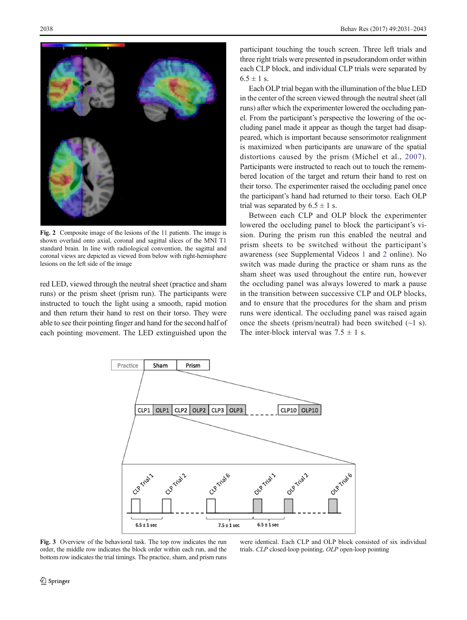<span id="page-7-0"></span>

Fig. 2 Composite image of the lesions of the 11 patients. The image is shown overlaid onto axial, coronal and sagittal slices of the MNI T1 standard brain. In line with radiological convention, the sagittal and coronal views are depicted as viewed from below with right-hemisphere lesions on the left side of the image

red LED, viewed through the neutral sheet (practice and sham runs) or the prism sheet (prism run). The participants were instructed to touch the light using a smooth, rapid motion and then return their hand to rest on their torso. They were able to see their pointing finger and hand for the second half of each pointing movement. The LED extinguished upon the

participant touching the touch screen. Three left trials and three right trials were presented in pseudorandom order within each CLP block, and individual CLP trials were separated by  $6.5 \pm 1$  s.

Each OLP trial began with the illumination of the blue LED in the center of the screen viewed through the neutral sheet (all runs) after which the experimenter lowered the occluding panel. From the participant's perspective the lowering of the occluding panel made it appear as though the target had disappeared, which is important because sensorimotor realignment is maximized when participants are unaware of the spatial distortions caused by the prism (Michel et al., [2007](#page-11-0)). Participants were instructed to reach out to touch the remembered location of the target and return their hand to rest on their torso. The experimenter raised the occluding panel once the participant's hand had returned to their torso. Each OLP trial was separated by  $6.5 \pm 1$  s.

Between each CLP and OLP block the experimenter lowered the occluding panel to block the participant's vision. During the prism run this enabled the neutral and prism sheets to be switched without the participant's awareness (see Supplemental Videos 1 and 2 online). No switch was made during the practice or sham runs as the sham sheet was used throughout the entire run, however the occluding panel was always lowered to mark a pause in the transition between successive CLP and OLP blocks, and to ensure that the procedures for the sham and prism runs were identical. The occluding panel was raised again once the sheets (prism/neutral) had been switched  $(\sim 1 \text{ s})$ . The inter-block interval was  $7.5 \pm 1$  s.



Fig. 3 Overview of the behavioral task. The top row indicates the run order, the middle row indicates the block order within each run, and the bottom row indicates the trial timings. The practice, sham, and prism runs

were identical. Each CLP and OLP block consisted of six individual trials. CLP closed-loop pointing, OLP open-loop pointing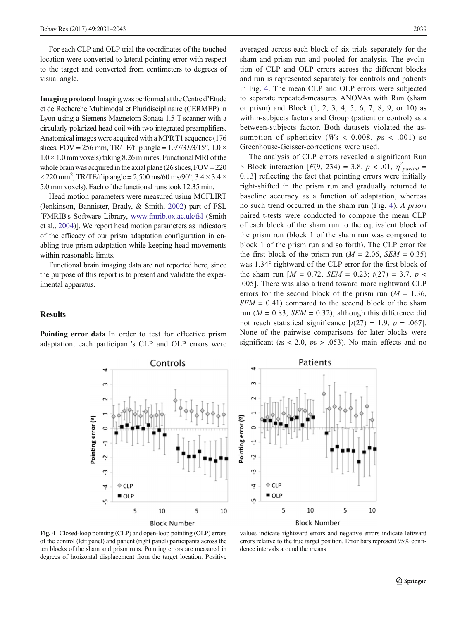<span id="page-8-0"></span>For each CLP and OLP trial the coordinates of the touched location were converted to lateral pointing error with respect to the target and converted from centimeters to degrees of visual angle.

Imaging protocol Imagingwas performedattheCentre d'Etude et de Recherche Multimodal et Pluridisciplinaire (CERMEP) in Lyon using a Siemens Magnetom Sonata 1.5 T scanner with a circularly polarized head coil with two integrated preamplifiers. Anatomical images were acquired with aMPRT1 sequence (176 slices, FOV = 256 mm, TR/TE/flip angle =  $1.97/3.93/15^{\circ}$ ,  $1.0 \times$  $1.0 \times 1.0$  mm voxels) taking 8.26 minutes. Functional MRI of the whole brain was acquired in the axial plane (26 slices,  $FOV = 220$  $\times$  220 mm<sup>2</sup>, TR/TE/flip angle = 2,500 ms/60 ms/90°, 3.4  $\times$  3.4  $\times$ 5.0 mm voxels). Each of the functional runs took 12.35 min.

Head motion parameters were measured using MCFLIRT (Jenkinson, Bannister, Brady, & Smith, [2002](#page-11-0)) part of FSL [FMRIB's Software Library, [www.fmrib.ox.ac.uk/fsl](http://www.fmrib.ox.ac.uk/fsl) (Smith et al., [2004\)](#page-11-0)]. We report head motion parameters as indicators of the efficacy of our prism adaptation configuration in enabling true prism adaptation while keeping head movements within reasonable limits.

Functional brain imaging data are not reported here, since the purpose of this report is to present and validate the experimental apparatus.

#### **Results**

Pointing error data In order to test for effective prism adaptation, each participant's CLP and OLP errors were

averaged across each block of six trials separately for the sham and prism run and pooled for analysis. The evolution of CLP and OLP errors across the different blocks and run is represented separately for controls and patients in Fig. 4. The mean CLP and OLP errors were subjected to separate repeated-measures ANOVAs with Run (sham or prism) and Block (1, 2, 3, 4, 5, 6, 7, 8, 9, or 10) as within-subjects factors and Group (patient or control) as a between-subjects factor. Both datasets violated the assumption of sphericity (Ws  $< 0.008$ ,  $ps < .001$ ) so Greenhouse-Geisser-corrections were used.

The analysis of CLP errors revealed a significant Run  $\times$  Block interaction [F(9, 234) = 3.8, p < .01,  $\eta^2_{partial}$  = 0.13] reflecting the fact that pointing errors were initially right-shifted in the prism run and gradually returned to baseline accuracy as a function of adaptation, whereas no such trend occurred in the sham run (Fig. 4). A priori paired t-tests were conducted to compare the mean CLP of each block of the sham run to the equivalent block of the prism run (block 1 of the sham run was compared to block 1 of the prism run and so forth). The CLP error for the first block of the prism run ( $M = 2.06$ ,  $SEM = 0.35$ ) was 1.34° rightward of the CLP error for the first block of the sham run  $[M = 0.72, SEM = 0.23; t(27) = 3.7, p <$ .005]. There was also a trend toward more rightward CLP errors for the second block of the prism run  $(M = 1.36$ ,  $SEM = 0.41$ ) compared to the second block of the sham run ( $M = 0.83$ ,  $SEM = 0.32$ ), although this difference did not reach statistical significance  $[t(27) = 1.9, p = .067]$ . None of the pairwise comparisons for later blocks were significant ( $ts < 2.0$ ,  $ps > .053$ ). No main effects and no





Fig. 4 Closed-loop pointing (CLP) and open-loop pointing (OLP) errors of the control (left panel) and patient (right panel) participants across the ten blocks of the sham and prism runs. Pointing errors are measured in degrees of horizontal displacement from the target location. Positive

values indicate rightward errors and negative errors indicate leftward errors relative to the true target position. Error bars represent 95% confidence intervals around the means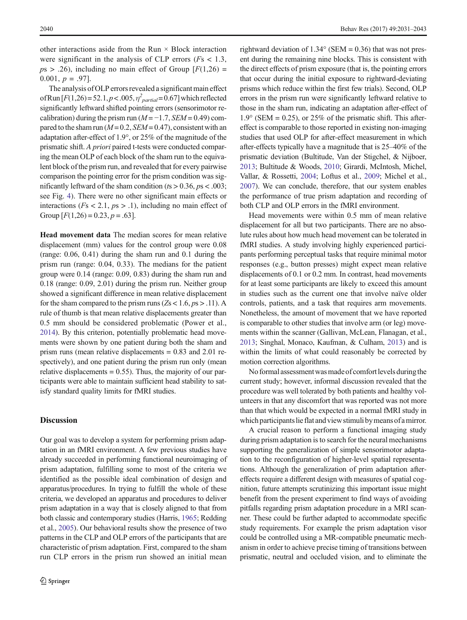other interactions aside from the Run  $\times$  Block interaction were significant in the analysis of CLP errors ( $Fs < 1.3$ ,  $ps > .26$ ), including no main effect of Group  $[F(1,26) =$ 0.001,  $p = .97$ ].

The analysis of OLP errors revealed a significant main effect of Run [ $F(1,26)$  = 52.1,  $p < .005$ ,  $\eta^{2}_{partial}$  = 0.67] which reflected significantly leftward shifted pointing errors (sensorimotor recalibration) during the prism run ( $M = -1.7$ ,  $SEM = 0.49$ ) compared to the sham run ( $M = 0.2$ ,  $SEM = 0.47$ ), consistent with an adaptation after-effect of 1.9°, or 25% of the magnitude of the prismatic shift. A priori paired t-tests were conducted comparing the mean OLP of each block of the sham run to the equivalent block of the prism run, and revealed that for every pairwise comparison the pointing error for the prism condition was significantly leftward of the sham condition ( $ts > 0.36$ ,  $ps < .003$ ; see Fig. [4\)](#page-8-0). There were no other significant main effects or interactions ( $Fs < 2.1$ ,  $ps > .1$ ), including no main effect of Group  $[F(1,26) = 0.23, p = .63]$ .

Head movement data The median scores for mean relative displacement (mm) values for the control group were 0.08 (range: 0.06, 0.41) during the sham run and 0.1 during the prism run (range: 0.04, 0.33). The medians for the patient group were 0.14 (range: 0.09, 0.83) during the sham run and 0.18 (range: 0.09, 2.01) during the prism run. Neither group showed a significant difference in mean relative displacement for the sham compared to the prism runs ( $Z_s < 1.6$ ,  $ps > .11$ ). A rule of thumb is that mean relative displacements greater than 0.5 mm should be considered problematic (Power et al., [2014\)](#page-11-0). By this criterion, potentially problematic head movements were shown by one patient during both the sham and prism runs (mean relative displacements = 0.83 and 2.01 respectively), and one patient during the prism run only (mean relative displacements  $= 0.55$ ). Thus, the majority of our participants were able to maintain sufficient head stability to satisfy standard quality limits for fMRI studies.

#### **Discussion**

Our goal was to develop a system for performing prism adaptation in an fMRI environment. A few previous studies have already succeeded in performing functional neuroimaging of prism adaptation, fulfilling some to most of the criteria we identified as the possible ideal combination of design and apparatus/procedures. In trying to fulfill the whole of these criteria, we developed an apparatus and procedures to deliver prism adaptation in a way that is closely aligned to that from both classic and contemporary studies (Harris, [1965](#page-11-0); Redding et al., [2005](#page-11-0)). Our behavioral results show the presence of two patterns in the CLP and OLP errors of the participants that are characteristic of prism adaptation. First, compared to the sham run CLP errors in the prism run showed an initial mean

rightward deviation of  $1.34^{\circ}$  (SEM = 0.36) that was not present during the remaining nine blocks. This is consistent with the direct effects of prism exposure (that is, the pointing errors that occur during the initial exposure to rightward-deviating prisms which reduce within the first few trials). Second, OLP errors in the prism run were significantly leftward relative to those in the sham run, indicating an adaptation after-effect of  $1.9^{\circ}$  (SEM = 0.25), or 25% of the prismatic shift. This aftereffect is comparable to those reported in existing non-imaging studies that used OLP for after-effect measurement in which after-effects typically have a magnitude that is 25–40% of the prismatic deviation (Bultitude, Van der Stigchel, & Nijboer, [2013;](#page-10-0) Bultitude & Woods, [2010;](#page-10-0) Girardi, McIntosh, Michel, Vallar, & Rossetti, [2004](#page-10-0); Loftus et al., [2009](#page-11-0); Michel et al., [2007\)](#page-11-0). We can conclude, therefore, that our system enables the performance of true prism adaptation and recording of both CLP and OLP errors in the fMRI environment.

Head movements were within 0.5 mm of mean relative displacement for all but two participants. There are no absolute rules about how much head movement can be tolerated in fMRI studies. A study involving highly experienced participants performing perceptual tasks that require minimal motor responses (e.g., button presses) might expect mean relative displacements of 0.1 or 0.2 mm. In contrast, head movements for at least some participants are likely to exceed this amount in studies such as the current one that involve naïve older controls, patients, and a task that requires arm movements. Nonetheless, the amount of movement that we have reported is comparable to other studies that involve arm (or leg) movements within the scanner (Gallivan, McLean, Flanagan, et al., [2013;](#page-10-0) Singhal, Monaco, Kaufman, & Culham, [2013\)](#page-11-0) and is within the limits of what could reasonably be corrected by motion correction algorithms.

No formal assessment was made of comfort levels during the current study; however, informal discussion revealed that the procedure was well tolerated by both patients and healthy volunteers in that any discomfort that was reported was not more than that which would be expected in a normal fMRI study in which participants lie flat and view stimuli by means of a mirror.

A crucial reason to perform a functional imaging study during prism adaptation is to search for the neural mechanisms supporting the generalization of simple sensorimotor adaptation to the reconfiguration of higher-level spatial representations. Although the generalization of prim adaptation aftereffects require a different design with measures of spatial cognition, future attempts scrutinizing this important issue might benefit from the present experiment to find ways of avoiding pitfalls regarding prism adaptation procedure in a MRI scanner. These could be further adapted to accommodate specific study requirements. For example the prism adaptation visor could be controlled using a MR-compatible pneumatic mechanism in order to achieve precise timing of transitions between prismatic, neutral and occluded vision, and to eliminate the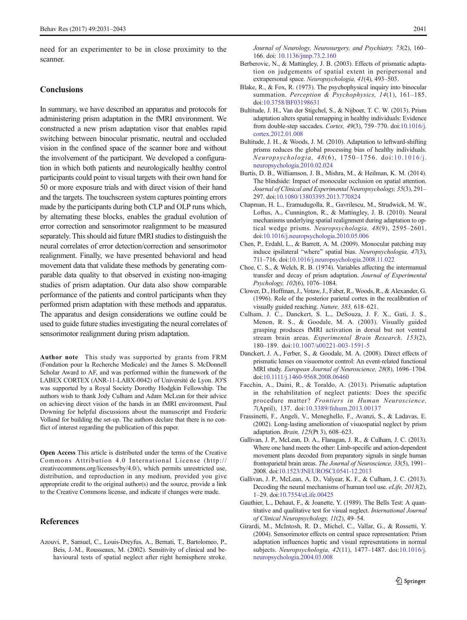<span id="page-10-0"></span>need for an experimenter to be in close proximity to the scanner.

# **Conclusions**

In summary, we have described an apparatus and protocols for administering prism adaptation in the fMRI environment. We constructed a new prism adaptation visor that enables rapid switching between binocular prismatic, neutral and occluded vision in the confined space of the scanner bore and without the involvement of the participant. We developed a configuration in which both patients and neurologically healthy control participants could point to visual targets with their own hand for 50 or more exposure trials and with direct vision of their hand and the targets. The touchscreen system captures pointing errors made by the participants during both CLP and OLP runs which, by alternating these blocks, enables the gradual evolution of error correction and sensorimotor realignment to be measured separately. This should aid future fMRI studies to distinguish the neural correlates of error detection/correction and sensorimotor realignment. Finally, we have presented behavioral and head movement data that validate these methods by generating comparable data quality to that observed in existing non-imaging studies of prism adaptation. Our data also show comparable performance of the patients and control participants when they performed prism adaptation with these methods and apparatus. The apparatus and design considerations we outline could be used to guide future studies investigating the neural correlates of sensorimotor realignment during prism adaptation.

Author note This study was supported by grants from FRM (Fondation pour la Recherche Medicale) and the James S. McDonnell Scholar Award to AF, and was performed within the framework of the LABEX CORTEX (ANR-11-LABX-0042) of Université de Lyon. JO'S was supported by a Royal Society Dorothy Hodgkin Fellowship. The authors wish to thank Jody Culham and Adam McLean for their advice on achieving direct vision of the hands in an fMRI environment, Paul Downing for helpful discussions about the manuscript and Frederic Volland for building the set-up. The authors declare that there is no conflict of interest regarding the publication of this paper.

Open Access This article is distributed under the terms of the Creative Commons Attribution 4.0 International License (http:// creativecommons.org/licenses/by/4.0/), which permits unrestricted use, distribution, and reproduction in any medium, provided you give appropriate credit to the original author(s) and the source, provide a link to the Creative Commons license, and indicate if changes were made.

#### References

Azouvi, P., Samuel, C., Louis-Dreyfus, A., Bernati, T., Bartolomeo, P., Beis, J.-M., Rousseaux, M. (2002). Sensitivity of clinical and behavioural tests of spatial neglect after right hemisphere stroke. Journal of Neurology, Neurosurgery, and Psychiatry, 73(2), 160– 166. doi: [10.1136/jnnp.73.2.160](http://dx.doi.org/10.1136/jnnp.73.2.160)

- Berberovic, N., & Mattingley, J. B. (2003). Effects of prismatic adaptation on judgements of spatial extent in peripersonal and extrapersonal space. Neuropsychologia, 41(4), 493–503.
- Blake, R., & Fox, R. (1973). The psychophysical inquiry into binocular summation. Perception & Psychophysics, 14(1), 161-185. doi:[10.3758/BF03198631](http://dx.doi.org/10.3758/BF03198631)
- Bultitude, J. H., Van der Stigchel, S., & Nijboer, T. C. W. (2013). Prism adaptation alters spatial remapping in healthy individuals: Evidence from double-step saccades. Cortex, 49(3), 759–770. doi:[10.1016/j.](http://dx.doi.org/10.1016/j.cortex.2012.01.008) [cortex.2012.01.008](http://dx.doi.org/10.1016/j.cortex.2012.01.008)
- Bultitude, J. H., & Woods, J. M. (2010). Adaptation to leftward-shifting prisms reduces the global processing bias of healthy individuals. Neuropsychologia, 48(6), 1750–1756. doi:[10.1016/j.](http://dx.doi.org/10.1016/j.neuropsychologia.2010.02.024) [neuropsychologia.2010.02.024](http://dx.doi.org/10.1016/j.neuropsychologia.2010.02.024)
- Burtis, D. B., Williamson, J. B., Mishra, M., & Heilman, K. M. (2014). The blindside: Impact of monocular occlusion on spatial attention. Journal of Clinical and Experimental Neuropsychology, 35(3), 291– 297. doi[:10.1080/13803395.2013.770824](http://dx.doi.org/10.1080/13803395.2013.770824)
- Chapman, H. L., Eramudugolla, R., Gavrilescu, M., Strudwick, M. W., Loftus, A., Cunnington, R., & Mattingley, J. B. (2010). Neural mechanisms underlying spatial realignment during adaptation to optical wedge prisms. Neuropsychologia, 48(9), 2595–2601. doi:[10.1016/j.neuropsychologia.2010.05.006](http://dx.doi.org/10.1016/j.neuropsychologia.2010.05.006)
- Chen, P., Erdahl, L., & Barrett, A. M. (2009). Monocular patching may induce ipsilateral "where" spatial bias. Neuropsychologia, 47(3), 711–716. doi:[10.1016/j.neuropsychologia.2008.11.022](http://dx.doi.org/10.1016/j.neuropsychologia.2008.11.022)
- Choe, C. S., & Welch, R. B. (1974). Variables affecting the intermanual transfer and decay of prism adaptation. Journal of Experimental Psychology, 102(6), 1076–1084.
- Clower, D., Hoffman, J., Votaw, J., Faber, R., Woods, R., & Alexander, G. (1996). Role of the posterior parietal cortex in the recalibration of visually guided reaching. Nature, 383, 618–621.
- Culham, J. C., Danckert, S. L., DeSouza, J. F. X., Gati, J. S., Menon, R. S., & Goodale, M. A. (2003). Visually guided grasping produces fMRI activation in dorsal but not ventral stream brain areas. Experimental Brain Research, 153(2), 180–189. doi:[10.1007/s00221-003-1591-5](http://dx.doi.org/10.1007/s00221-003-1591-5)
- Danckert, J. A., Ferber, S., & Goodale, M. A. (2008). Direct effects of prismatic lenses on visuomotor control: An event-related functional MRI study. European Journal of Neuroscience, 28(8), 1696–1704. doi:[10.1111/j.1460-9568.2008.06460](http://dx.doi.org/10.1111/j.1460-9568.2008.06460)
- Facchin, A., Daini, R., & Toraldo, A. (2013). Prismatic adaptation in the rehabilitation of neglect patients: Does the specific procedure matter? Frontiers in Human Neuroscience, 7(April), 137. doi:[10.3389/fnhum.2013.00137](http://dx.doi.org/10.3389/fnhum.2013.00137)
- Frassinetti, F., Angeli, V., Meneghello, F., Avanzi, S., & Ladavas, E. (2002). Long-lasting amelioration of visuospatial neglect by prism adaptation. Brain, 125(Pt 3), 608–623.
- Gallivan, J. P., McLean, D. A., Flanagan, J. R., & Culham, J. C. (2013). Where one hand meets the other: Limb-specific and action-dependent movement plans decoded from preparatory signals in single human frontoparietal brain areas. The Journal of Neuroscience, 33(5), 1991– 2008. doi:[10.1523/JNEUROSCI.0541-12.2013](http://dx.doi.org/10.1523/JNEUROSCI.0541-12.2013)
- Gallivan, J. P., McLean, A. D., Valyear, K. F., & Culham, J. C. (2013). Decoding the neural mechanisms of human tool use. eLife, 2013(2), 1–29. doi:[10.7554/eLife.00425](http://dx.doi.org/10.7554/eLife.00425)
- Gauthier, L., Dehaut, F., & Joanette, Y. (1989). The Bells Test: A quantitative and qualitative test for visual neglect. International Journal of Clinical Neuropsychology, 11(2), 49–54.
- Girardi, M., McIntosh, R. D., Michel, C., Vallar, G., & Rossetti, Y. (2004). Sensorimotor effects on central space representation: Prism adaptation influences haptic and visual representations in normal subjects. Neuropsychologia, 42(11), 1477–1487. doi[:10.1016/j.](http://dx.doi.org/10.1016/j.neuropsychologia.2004.03.008) [neuropsychologia.2004.03.008](http://dx.doi.org/10.1016/j.neuropsychologia.2004.03.008)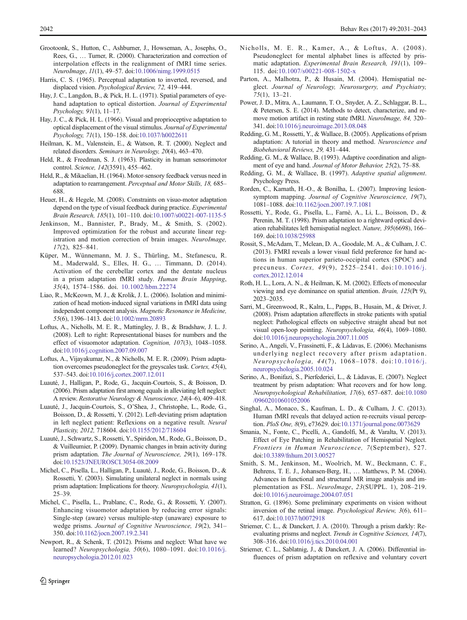- <span id="page-11-0"></span>Grootoonk, S., Hutton, C., Ashburner, J., Howseman, A., Josephs, O., Rees, G., … Turner, R. (2000). Characterization and correction of interpolation effects in the realignment of fMRI time series. NeuroImage, 11(1), 49–57. doi[:10.1006/nimg.1999.0515](http://dx.doi.org/10.1006/nimg.1999.0515)
- Harris, C. S. (1965). Perceptual adaptation to inverted, reversed, and displaced vision. Psychological Review, 72, 419–444.
- Hay, J. C., Langdon, B., & Pick, H. L. (1971). Spatial parameters of eyehand adaptation to optical distortion. Journal of Experimental Psychology, 91(1), 11–17.
- Hay, J. C., & Pick, H. L. (1966). Visual and proprioceptive adaptation to optical displacement of the visual stimulus. Journal of Experimental Psychology, 71(1), 150–158. doi[:10.1037/h0022611](http://dx.doi.org/10.1037/h0022611)
- Heilman, K. M., Valenstein, E., & Watson, R. T. (2000). Neglect and related disorders. Seminars in Neurology, 20(4), 463–470.
- Held, R., & Freedman, S. J. (1963). Plasticity in human sensorimotor control. Science, 142(3591), 455–462.
- Held, R., & Mikaelian, H. (1964). Motor-sensory feedback versus need in adaptation to rearrangement. Perceptual and Motor Skills, 18, 685– 688.
- Heuer, H., & Hegele, M. (2008). Constraints on visuo-motor adaptation depend on the type of visual feedback during practice. Experimental Brain Research, 185(1), 101–110. doi[:10.1007/s00221-007-1135-5](http://dx.doi.org/10.1007/s00221-007-1135-5)
- Jenkinson, M., Bannister, P., Brady, M., & Smith, S. (2002). Improved optimization for the robust and accurate linear registration and motion correction of brain images. NeuroImage, 17(2), 825–841.
- Küper, M., Wünnemann, M. J. S., Thürling, M., Stefanescu, R. M., Maderwald, S., Elles, H. G., … Timmann, D. (2014). Activation of the cerebellar cortex and the dentate nucleus in a prism adaptation fMRI study. Human Brain Mapping, 35(4), 1574–1586. doi. [10.1002/hbm.22274](http://dx.doi.org/10.1002/hbm.22274)
- Liao, R., McKeown, M. J., & Krolik, J. L. (2006). Isolation and minimization of head motion-induced signal variations in fMRI data using independent component analysis. Magnetic Resonance in Medicine, 55(6), 1396–1413. doi[:10.1002/mrm.20893](http://dx.doi.org/10.1002/mrm.20893)
- Loftus, A., Nicholls, M. E. R., Mattingley, J. B., & Bradshaw, J. L. J. (2008). Left to right: Representational biases for numbers and the effect of visuomotor adaptation. Cognition, 107(3), 1048–1058. doi:[10.1016/j.cognition.2007.09.007](http://dx.doi.org/10.1016/j.cognition.2007.09.007)
- Loftus, A., Vijayakumar, N., & Nicholls, M. E. R. (2009). Prism adaptation overcomes pseudoneglect for the greyscales task. Cortex, 45(4), 537–543. doi[:10.1016/j.cortex.2007.12.011](http://dx.doi.org/10.1016/j.cortex.2007.12.011)
- Luauté, J., Halligan, P., Rode, G., Jacquin-Courtois, S., & Boisson, D. (2006). Prism adaptation first among equals in alleviating left neglect: A review. Restorative Neurology & Neuroscience, 24(4–6), 409–418.
- Luauté, J., Jacquin-Courtois, S., O'Shea, J., Christophe, L., Rode, G., Boisson, D., & Rossetti, Y. (2012). Left-deviating prism adaptation in left neglect patient: Reflexions on a negative result. Neural Plasticity, 2012, 718604. doi[:10.1155/2012/718604](http://dx.doi.org/10.1155/2012/718604)
- Luauté, J., Schwartz, S., Rossetti, Y., Spiridon, M., Rode, G., Boisson, D., & Vuilleumier, P. (2009). Dynamic changes in brain activity during prism adaptation. The Journal of Neuroscience, 29(1), 169-178. doi:[10.1523/JNEUROSCI.3054-08.2009](http://dx.doi.org/10.1523/JNEUROSCI.3054-08.2009)
- Michel, C., Pisella, L., Halligan, P., Luauté, J., Rode, G., Boisson, D., & Rossetti, Y. (2003). Simulating unilateral neglect in normals using prism adaptation: Implications for theory. Neuropsychologia, 41(1), 25–39.
- Michel, C., Pisella, L., Prablanc, C., Rode, G., & Rossetti, Y. (2007). Enhancing visuomotor adaptation by reducing error signals: Single-step (aware) versus multiple-step (unaware) exposure to wedge prisms. Journal of Cognitive Neuroscience, 19(2), 341-350. doi[:10.1162/jocn.2007.19.2.341](http://dx.doi.org/10.1162/jocn.2007.19.2.341)
- Newport, R., & Schenk, T. (2012). Prisms and neglect: What have we learned? Neuropsychologia, 50(6), 1080–1091. doi:[10.1016/j.](http://dx.doi.org/10.1016/j.neuropsychologia.2012.01.023) [neuropsychologia.2012.01.023](http://dx.doi.org/10.1016/j.neuropsychologia.2012.01.023)
- Nicholls, M. E. R., Kamer, A., & Loftus, A. (2008). Pseudoneglect for mental alphabet lines is affected by prismatic adaptation. Experimental Brain Research, 191(1), 109– 115. doi[:10.1007/s00221-008-1502-x](http://dx.doi.org/10.1007/s00221-008-1502-x)
- Parton, A., Malhotra, P., & Husain, M. (2004). Hemispatial neglect. Journal of Neurology, Neurosurgery, and Psychiatry, 75(1), 13–21.
- Power, J. D., Mitra, A., Laumann, T. O., Snyder, A. Z., Schlaggar, B. L., & Petersen, S. E. (2014). Methods to detect, characterize, and remove motion artifact in resting state fMRI. NeuroImage, 84, 320– 341. doi[:10.1016/j.neuroimage.2013.08.048](http://dx.doi.org/10.1016/j.neuroimage.2013.08.048)
- Redding, G. M., Rossetti, Y., & Wallace, B. (2005). Applications of prism adaptation: A tutorial in theory and method. Neuroscience and Biobehavioral Reviews, 29, 431–444.
- Redding, G. M., & Wallace, B. (1993). Adaptive coordination and alignment of eye and hand. Journal of Motor Behavior, 25(2), 75–88.
- Redding, G. M., & Wallace, B. (1997). Adaptive spatial alignment. Psychology Press.
- Rorden, C., Karnath, H.-O., & Bonilha, L. (2007). Improving lesionsymptom mapping. Journal of Cognitive Neuroscience, 19(7), 1081–1088. doi[:10.1162/jocn.2007.19.7.1081](http://dx.doi.org/10.1162/jocn.2007.19.7.1081)
- Rossetti, Y., Rode, G., Pisella, L., Farnè, A., Li, L., Boisson, D., & Perenin, M. T. (1998). Prism adaptation to a rightward optical deviation rehabilitates left hemispatial neglect. Nature, 395(6698), 166– 169. doi[:10.1038/25988](http://dx.doi.org/10.1038/25988)
- Rossit, S., McAdam, T., Mclean, D. A., Goodale, M. A., & Culham, J. C. (2013). FMRI reveals a lower visual field preference for hand actions in human superior parieto-occipital cortex (SPOC) and precuneus. Cortex, 49(9), 2525–2541. doi:[10.1016/j.](http://dx.doi.org/10.1016/j.cortex.2012.12.014) [cortex.2012.12.014](http://dx.doi.org/10.1016/j.cortex.2012.12.014)
- Roth, H. L., Lora, A. N., & Heilman, K. M. (2002). Effects of monocular viewing and eye dominance on spatial attention. Brain, 125(Pt 9), 2023–2035.
- Sarri, M., Greenwood, R., Kalra, L., Papps, B., Husain, M., & Driver, J. (2008). Prism adaptation aftereffects in stroke patients with spatial neglect: Pathological effects on subjective straight ahead but not visual open-loop pointing. Neuropsychologia, 46(4), 1069–1080. doi:[10.1016/j.neuropsychologia.2007.11.005](http://dx.doi.org/10.1016/j.neuropsychologia.2007.11.005)
- Serino, A., Angeli, V., Frassinetti, F., & Làdavas, E. (2006). Mechanisms underlying neglect recovery after prism adaptation. Neuropsychologia, 44(7), 1068–1078. doi:[10.1016/j.](http://dx.doi.org/10.1016/j.neuropsychologia.2005.10.024) [neuropsychologia.2005.10.024](http://dx.doi.org/10.1016/j.neuropsychologia.2005.10.024)
- Serino, A., Bonifazi, S., Pierfederici, L., & Làdavas, E. (2007). Neglect treatment by prism adaptation: What recovers and for how long. Neuropsychological Rehabilitation, 17(6), 657–687. doi[:10.1080](http://dx.doi.org/10.1080/09602010601052006) [/09602010601052006](http://dx.doi.org/10.1080/09602010601052006)
- Singhal, A., Monaco, S., Kaufman, L. D., & Culham, J. C. (2013). Human fMRI reveals that delayed action re-recruits visual perception. PloS One, 8(9), e73629. doi:[10.1371/journal.pone.0073629](http://dx.doi.org/10.1371/journal.pone.0073629)
- Smania, N., Fonte, C., Picelli, A., Gandolfi, M., & Varalta, V. (2013). Effect of Eye Patching in Rehabilitation of Hemispatial Neglect. Frontiers in Human Neuroscience, 7(September), 527. doi:[10.3389/fnhum.2013.00527](http://dx.doi.org/10.3389/fnhum.2013.00527)
- Smith, S. M., Jenkinson, M., Woolrich, M. W., Beckmann, C. F., Behrens, T. E. J., Johansen-Berg, H., … Matthews, P. M. (2004). Advances in functional and structural MR image analysis and implementation as FSL. NeuroImage, 23(SUPPL. 1), 208–219. doi:[10.1016/j.neuroimage.2004.07.051](http://dx.doi.org/10.1016/j.neuroimage.2004.07.051)
- Stratton, G. (1896). Some preliminary experiments on vision without inversion of the retinal image. *Psychological Review*, 3(6), 611– 617. doi[:10.1037/h0072918](http://dx.doi.org/10.1037/h0072918)
- Striemer, C. L., & Danckert, J. A. (2010). Through a prism darkly: Reevaluating prisms and neglect. Trends in Cognitive Sciences, 14(7), 308–316. doi[:10.1016/j.tics.2010.04.001](http://dx.doi.org/10.1016/j.tics.2010.04.001)
- Striemer, C. L., Sablatnig, J., & Danckert, J. A. (2006). Differential influences of prism adaptation on reflexive and voluntary covert